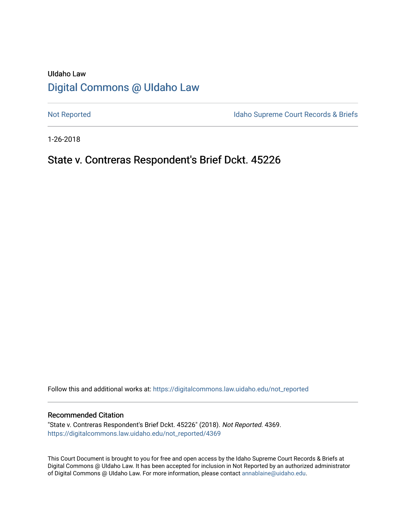# UIdaho Law [Digital Commons @ UIdaho Law](https://digitalcommons.law.uidaho.edu/)

[Not Reported](https://digitalcommons.law.uidaho.edu/not_reported) **Idaho Supreme Court Records & Briefs** 

1-26-2018

## State v. Contreras Respondent's Brief Dckt. 45226

Follow this and additional works at: [https://digitalcommons.law.uidaho.edu/not\\_reported](https://digitalcommons.law.uidaho.edu/not_reported?utm_source=digitalcommons.law.uidaho.edu%2Fnot_reported%2F4369&utm_medium=PDF&utm_campaign=PDFCoverPages) 

#### Recommended Citation

"State v. Contreras Respondent's Brief Dckt. 45226" (2018). Not Reported. 4369. [https://digitalcommons.law.uidaho.edu/not\\_reported/4369](https://digitalcommons.law.uidaho.edu/not_reported/4369?utm_source=digitalcommons.law.uidaho.edu%2Fnot_reported%2F4369&utm_medium=PDF&utm_campaign=PDFCoverPages)

This Court Document is brought to you for free and open access by the Idaho Supreme Court Records & Briefs at Digital Commons @ UIdaho Law. It has been accepted for inclusion in Not Reported by an authorized administrator of Digital Commons @ UIdaho Law. For more information, please contact [annablaine@uidaho.edu](mailto:annablaine@uidaho.edu).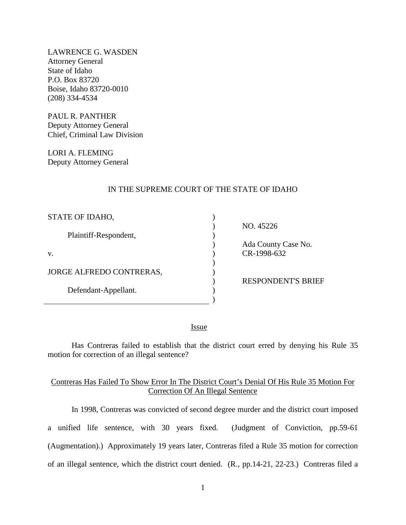LAWRENCE G. WASDEN Attorney General State of Idaho P.O. Box 83720 Boise, Idaho 83720-0010 (208) 334-4534

PAUL R. PANTHER Deputy Attorney General Chief, Criminal Law Division

LORI A. FLEMING Deputy Attorney General

### IN THE SUPREME COURT OF THE STATE OF IDAHO

| STATE OF IDAHO,          |  |
|--------------------------|--|
| Plaintiff-Respondent,    |  |
| V.                       |  |
| JORGE ALFREDO CONTRERAS, |  |
| Defendant-Appellant.     |  |
|                          |  |

NO. 45226

 Ada County Case No. CR-1998-632

RESPONDENT'S BRIEF

<u>Issue</u>

Has Contreras failed to establish that the district court erred by denying his Rule 35 motion for correction of an illegal sentence?

## Contreras Has Failed To Show Error In The District Court's Denial Of His Rule 35 Motion For Correction Of An Illegal Sentence

In 1998, Contreras was convicted of second degree murder and the district court imposed a unified life sentence, with 30 years fixed. (Judgment of Conviction, pp.59-61 (Augmentation).) Approximately 19 years later, Contreras filed a Rule 35 motion for correction of an illegal sentence, which the district court denied. (R., pp.14-21, 22-23.) Contreras filed a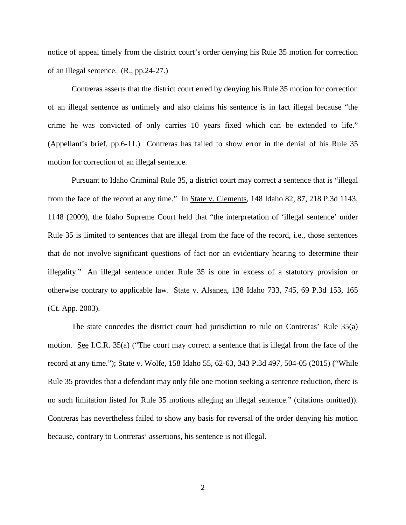notice of appeal timely from the district court's order denying his Rule 35 motion for correction of an illegal sentence. (R., pp.24-27.)

Contreras asserts that the district court erred by denying his Rule 35 motion for correction of an illegal sentence as untimely and also claims his sentence is in fact illegal because "the crime he was convicted of only carries 10 years fixed which can be extended to life." (Appellant's brief, pp.6-11.) Contreras has failed to show error in the denial of his Rule 35 motion for correction of an illegal sentence.

Pursuant to Idaho Criminal Rule 35, a district court may correct a sentence that is "illegal from the face of the record at any time." In State v. Clements, 148 Idaho 82, 87, 218 P.3d 1143, 1148 (2009), the Idaho Supreme Court held that "the interpretation of 'illegal sentence' under Rule 35 is limited to sentences that are illegal from the face of the record, i.e., those sentences that do not involve significant questions of fact nor an evidentiary hearing to determine their illegality." An illegal sentence under Rule 35 is one in excess of a statutory provision or otherwise contrary to applicable law. State v. Alsanea, 138 Idaho 733, 745, 69 P.3d 153, 165 (Ct. App. 2003).

The state concedes the district court had jurisdiction to rule on Contreras' Rule 35(a) motion. See I.C.R. 35(a) ("The court may correct a sentence that is illegal from the face of the record at any time."); State v. Wolfe, 158 Idaho 55, 62-63, 343 P.3d 497, 504-05 (2015) ("While Rule 35 provides that a defendant may only file one motion seeking a sentence reduction, there is no such limitation listed for Rule 35 motions alleging an illegal sentence." (citations omitted)). Contreras has nevertheless failed to show any basis for reversal of the order denying his motion because, contrary to Contreras' assertions, his sentence is not illegal.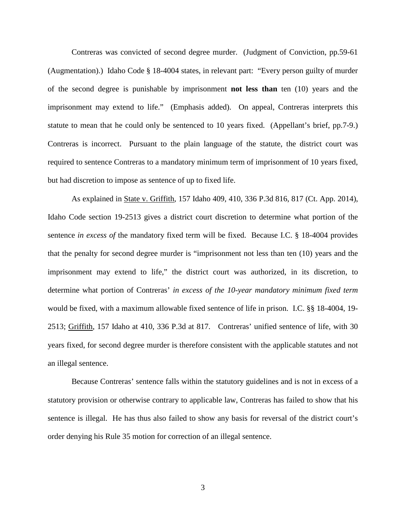Contreras was convicted of second degree murder. (Judgment of Conviction, pp.59-61 (Augmentation).) Idaho Code § 18-4004 states, in relevant part: "Every person guilty of murder of the second degree is punishable by imprisonment **not less than** ten (10) years and the imprisonment may extend to life." (Emphasis added). On appeal, Contreras interprets this statute to mean that he could only be sentenced to 10 years fixed. (Appellant's brief, pp.7-9.) Contreras is incorrect. Pursuant to the plain language of the statute, the district court was required to sentence Contreras to a mandatory minimum term of imprisonment of 10 years fixed, but had discretion to impose as sentence of up to fixed life.

As explained in State v. Griffith, 157 Idaho 409, 410, 336 P.3d 816, 817 (Ct. App. 2014), Idaho Code section 19-2513 gives a district court discretion to determine what portion of the sentence *in excess of* the mandatory fixed term will be fixed. Because I.C. § 18-4004 provides that the penalty for second degree murder is "imprisonment not less than ten (10) years and the imprisonment may extend to life," the district court was authorized, in its discretion, to determine what portion of Contreras' *in excess of the 10-year mandatory minimum fixed term* would be fixed, with a maximum allowable fixed sentence of life in prison. I.C. §§ 18-4004, 19- 2513; Griffith, 157 Idaho at 410, 336 P.3d at 817. Contreras' unified sentence of life, with 30 years fixed, for second degree murder is therefore consistent with the applicable statutes and not an illegal sentence.

Because Contreras' sentence falls within the statutory guidelines and is not in excess of a statutory provision or otherwise contrary to applicable law, Contreras has failed to show that his sentence is illegal. He has thus also failed to show any basis for reversal of the district court's order denying his Rule 35 motion for correction of an illegal sentence.